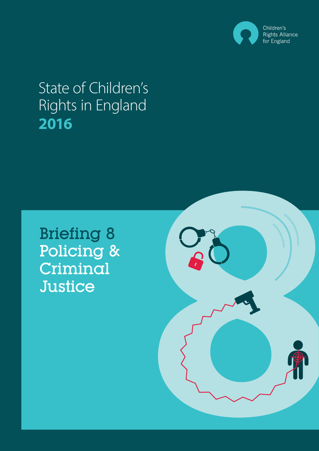

# State of Children's Rights in England **2016**

Briefing 8 Policing & Criminal **Justice** 

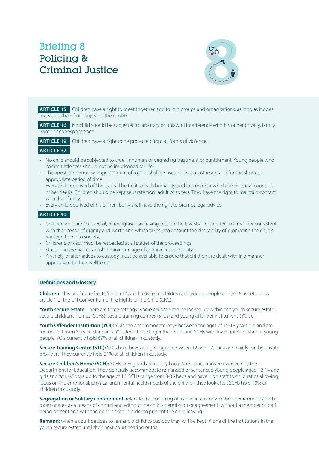# Briefing 8 Policing & Criminal Justice



**ARTICLE 15** Children have a right to meet together, and to join groups and organisations, as long as it does not stop others from enjoying their rights.

**ARTICLE 16** No child should be subjected to arbitrary or unlawful interference with his or her privacy, family, home or correspondence.

**ARTICLE 19** Children have a right to be protected from all forms of violence.

- **ARTICLE 37**
- No child should be subjected to cruel, inhuman or degrading treatment or punishment. Young people who commit offences should not be imprisoned for life.
- The arrest, detention or imprisonment of a child shall be used only as a last resort and for the shortest appropriate period of time.
- Every child deprived of liberty shall be treated with humanity and in a manner which takes into account his or her needs. Children should be kept separate from adult prisoners. They have the right to maintain contact with their family.
- Every child deprived of his or her liberty shall have the right to prompt legal advice.

## **ARTICLE 40**

- Children who are accused of, or recognised as having broken the law, shall be treated in a manner consistent with their sense of dignity and worth and which takes into account the desirability of promoting the child's reintegration into society.
- Children's privacy must be respected at all stages of the proceedings.
- States parties shall establish a minimum age of criminal responsibility.
- A variety of alternatives to custody must be available to ensure that children are dealt with in a manner appropriate to their wellbeing.

#### **Definitions and Glossary**

**Children:** This briefing refers to "children" which covers all children and young people under-18 as set out by article 1 of the UN Convention of the Rights of the Child (CRC).

**Youth secure estate:** There are three settings where children can be locked up within the youth secure estate: secure children's homes (SCHs), secure training centres (STCs) and young offender institutions (YOIs).

Youth Offender Institution (YOI): YOIs can accommodate boys between the ages of 15-18 years old and are run under Prison Service standards. YOIs tend to be larger than STCs and SCHs with lower ratios of staff to young people. YOIs currently hold 69% of all children in custody.

**Secure Training Centre (STC):** STCs hold boys and girls aged between 12 and 17. They are mainly run by private providers. They currently hold 21% of all children in custody.

**Secure Children's Home (SCH):** SCHs in England are run by Local Authorities and are overseen by the Department for Education. They generally accommodate remanded or sentenced young people aged 12-14 and girls and "at risk" boys up to the age of 16. SCHs range from 8-36 beds and have high staff to child ratios allowing focus on the emotional, physical and mental health needs of the children they look after. SCHs hold 10% of children in custody.

**Segregation or Solitary confinement:** refers to the confining of a child in custody in their bedroom, or another room or area as a means of control and without the child's permission or agreement, without a member of staff being present and with the door locked in order to prevent the child leaving.

**Remand:** when a court decides to remand a child to custody they will be kept in one of the institutions in the youth secure estate until their next court hearing or trial.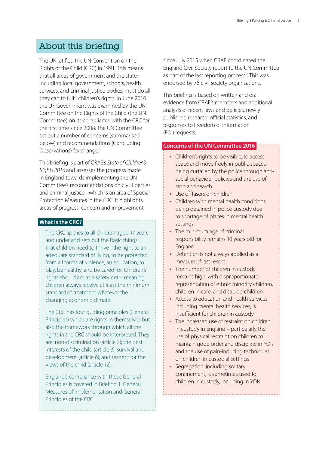# About this briefing

The UK ratified the UN Convention on the Rights of the Child (CRC) in 1991. This means that all areas of government and the state; including local government, schools, health services, and criminal justice bodies, must do all they can to fulfil children's rights. In June 2016 the UK Government was examined by the UN Committee on the Rights of the Child (the UN Committee) on its compliance with the CRC for the first time since 2008. The UN Committee set out a number of concerns (summarised below) and recommendations (Concluding Observations) for change.<sup>1</sup>

This briefing is part of CRAE's *State of Children's Rights 2016* and assesses the progress made in England towards implementing the UN Committee's recommendations on civil liberties and criminal justice - which is an area of Special Protection Measures in the CRC. It highlights areas of progress, concern and improvement

# **What is the CRC?**

The CRC applies to all children aged 17 years and under and sets out the basic things that children need to thrive - the right to an adequate standard of living, to be protected from all forms of violence, an education, to play, be healthy, and be cared for. Children's rights should act as a safety net – meaning children always receive at least the minimum standard of treatment whatever the changing economic climate.

The CRC has four guiding principles (General Principles) which are rights in themselves but also the framework through which all the rights in the CRC should be interpreted. They are: non-discrimination (article 2); the best interests of the child (article 3); survival and development (article 6); and respect for the views of the child (article 12).

England's compliance with these General Principles is covered in Briefing 1: General Measures of Implementation and General Principles of the CRC.

since July 2015 when CRAE coordinated the England Civil Society report to the UN Committee as part of the last reporting process.<sup>2</sup> This was endorsed by 76 civil society organisations.

This briefing is based on written and oral evidence from CRAE's members and additional analysis of recent laws and policies, newly published research, official statistics, and responses to Freedom of Information (FOI) requests.

#### **Concerns of the UN Committee 2016**

- Children's rights to be visible, to access space and move freely in public spaces being curtailed by the police through antisocial behaviour policies and the use of stop and search
- Use of Tasers on children
- Children with mental health conditions being detained in police custody due to shortage of places in mental health settings
- The minimum age of criminal responsibility remains 10 years old for England
- Detention is not always applied as a measure of last resort
- The number of children in custody remains high, with disproportionate representation of ethnic minority children, children in care, and disabled children
- Access to education and health services, including mental health services, is insufficient for children in custody
- The increased use of restraint on children in custody in England – particularly the use of physical restraint on children to maintain good order and discipline in YOIs and the use of pain-inducing techniques on children in custodial settings
- Segregation, including solitary confinement, is sometimes used for children in custody, including in YOIs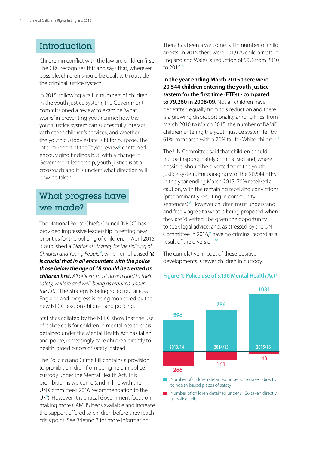# **Introduction**

Children in conflict with the law are children first. The CRC recognises this and says that, wherever possible, children should be dealt with outside the criminal justice system.

In 2015, following a fall in numbers of children in the youth justice system, the Government commissioned a review to examine "what works" in preventing youth crime; how the youth justice system can successfully interact with other children's services; and whether the youth custody estate is fit for purpose. The interim report of the Taylor review<sup>3</sup> contained encouraging findings but, with a change in Government leadership, youth justice is at a crossroads and it is unclear what direction will now be taken.

# What progress have we made?

The National Police Chiefs' Council (NPCC) has provided impressive leadership in setting new priorities for the policing of children. In April 2015, it published a *'National Strategy for the Policing of Children and Young People'*<sup>4</sup> , which emphasised *'it is crucial that in all encounters with the police those below the age of 18 should be treated as children first. All officers must have regard to their safety, welfare and well-being as required under… the CRC.'* The Strategy is being rolled out across England and progress is being monitored by the new NPCC lead on children and policing.

Statistics collated by the NPCC show that the use of police cells for children in mental health crisis detained under the Mental Health Act has fallen and police, increasingly, take children directly to health-based places of safety instead.

The Policing and Crime Bill contains a provision to prohibit children from being held in police custody under the Mental Health Act. This prohibition is welcome (and in line with the UN Committee's 2016 recommendation to the UK<sup>5</sup>). However, it is critical Government focus on making more CAMHS beds available and increase the support offered to children before they reach crisis point. See Briefing 7 for more information.

There has been a welcome fall in number of child arrests. In 2015 there were 101,926 child arrests in England and Wales: a reduction of 59% from 2010 to 2015.<sup>6</sup>

**In the year ending March 2015 there were 20,544 children entering the youth justice system for the first time (FTEs) - compared to 79,260 in 2008/09.** Not all children have benefitted equally from this reduction and there is a growing disproportionality among FTEs: from March 2010 to March 2015, the number of BAME children entering the youth justice system fell by 61% compared with a 70% fall for White children.<sup>7</sup>

The UN Committee said that children should not be inappropriately criminalised and, where possible, should be diverted from the youth justice system. Encouragingly, of the 20,544 FTEs in the year ending March 2015, 70% received a caution, with the remaining receiving convictions (predominantly resulting in community sentences).<sup>8</sup> However children must understand and freely agree to what is being proposed when they are "diverted"; be given the opportunity to seek legal advice; and, as stressed by the UN Committee in 2016,<sup>9</sup> have no criminal record as a result of the diversion<sup>10</sup>

The cumulative impact of these positive developments is fewer children in custody.

# Figure 1: Police use of s.136 Mental Health Act<sup>11</sup>



Number of children detained under s.136 taken directly to health-based places of safety

Number of children detained under s.136 taken directly to police cells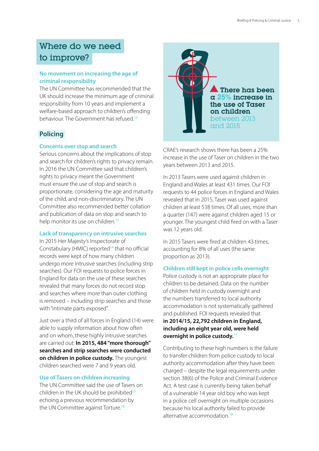# Where do we need to improve?

# **No movement on increasing the age of criminal responsibility**

The UN Committee has recommended that the UK should increase the minimum age of criminal responsibility from 10 years and implement a welfare-based approach to children's offending behaviour. The Government has refused.<sup>12</sup>

# **Policing**

# **Concerns over stop and search**

Serious concerns about the implications of stop and search for children's rights to privacy remain. In 2016 the UN Committee said that children's rights to privacy meant the Government must ensure the use of stop and search is proportionate, considering the age and maturity of the child, and non-discriminatory. The UN Committee also recommended better collation and publication of data on stop and search to help monitor its use on children.<sup>13</sup>

# **Lack of transparency on intrusive searches**

In 2015 Her Majesty's Inspectorate of Constabulary (HMIC) reported<sup>14</sup> that no official records were kept of how many children undergo more intrusive searches (including strip searches). Our FOI requests to police forces in England for data on the use of these searches revealed that many forces do not record stop and searches where more than outer clothing is removed – including strip searches and those with "intimate parts exposed".

Just over a third of all forces in England (14) were able to supply information about how often and on whom, these highly intrusive searches are carried out: **In 2015, 484 "more thorough" searches and strip searches were conducted on children in police custody.** The youngest children searched were 7 and 9 years old.

# **Use of Tasers on children increasing**

The UN Committee said the use of Tasers on children in the UK should be prohibited<sup>15</sup> echoing a previous recommendation by the UN Committee against Torture.<sup>16</sup>



CRAE's research shows there has been a 25% increase in the use of Taser on children in the two years between 2013 and 2015.

In 2013 Tasers were used against children in England and Wales at least 431 times. Our FOI requests to 44 police forces in England and Wales revealed that in 2015, Taser was used against children at least 538 times. Of all uses, more than a quarter (147) were against children aged 15 or younger. The youngest child fired on with a Taser was 12 years old.

In 2015 Tasers were fired at children 43 times, accounting for 8% of all uses (the same proportion as 2013).

# **Children still kept in police cells overnight**

Police custody is not an appropriate place for children to be detained. Data on the number of children held in custody overnight and the numbers transferred to local authority accommodation is not systematically gathered and published. FOI requests revealed that **in 2014/15, 22,792 children in England, including an eight year old, were held overnight in police custody.**<sup>17</sup>

Contributing to these high numbers is the failure to transfer children from police custody to local authority accommodation after they have been charged – despite the legal requirements under section 38(6) of the Police and Criminal Evidence Act. A test case is currently being taken behalf of a vulnerable 14 year old boy who was kept in a police cell overnight on multiple occasions because his local authority failed to provide alternative accommodation.<sup>18</sup>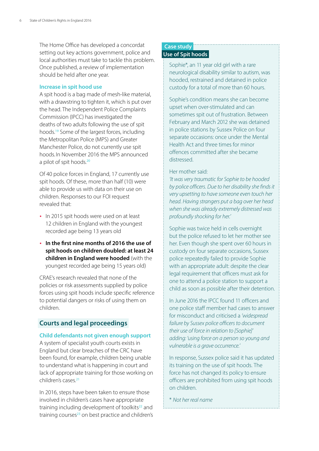The Home Office has developed a concordat setting out key actions government, police and local authorities must take to tackle this problem. Once published, a review of implementation should be held after one year.

#### **Increase in spit hood use**

A spit hood is a bag made of mesh-like material, with a drawstring to tighten it, which is put over the head. The Independent Police Complaints Commission (IPCC) has investigated the deaths of two adults following the use of spit hoods.<sup>19</sup> Some of the largest forces, including the Metropolitan Police (MPS) and Greater Manchester Police, do not currently use spit hoods. In November 2016 the MPS announced a pilot of spit hoods.<sup>20</sup>

Of 40 police forces in England, 17 currently use spit hoods. Of these, more than half (10) were able to provide us with data on their use on children. Responses to our FOI request revealed that:

- In 2015 spit hoods were used on at least 12 children in England with the youngest recorded age being 13 years old
- y **In the first nine months of 2016 the use of spit hoods on children doubled: at least 24 children in England were hooded** (with the youngest recorded age being 15 years old)

CRAE's research revealed that none of the policies or risk assessments supplied by police forces using spit hoods include specific reference to potential dangers or risks of using them on children.

# **Courts and legal proceedings**

#### **Child defendants not given enough support**

A system of specialist youth courts exists in England but clear breaches of the CRC have been found, for example, children being unable to understand what is happening in court and lack of appropriate training for those working on children's cases.<sup>21</sup>

In 2016, steps have been taken to ensure those involved in children's cases have appropriate training including development of toolkits<sup>22</sup> and training courses<sup>23</sup> on best practice and children's

# **Case study Use of Spit hoods**

Sophie\*, an 11 year old girl with a rare neurological disability similar to autism, was hooded, restrained and detained in police custody for a total of more than 60 hours.

Sophie's condition means she can become upset when over-stimulated and can sometimes spit out of frustration. Between February and March 2012 she was detained in police stations by Sussex Police on four separate occasions: once under the Mental Health Act and three times for minor offences committed after she became distressed.

#### Her mother said:

*'It was very traumatic for Sophie to be hooded by police officers. Due to her disability she finds it very upsetting to have someone even touch her head. Having strangers put a bag over her head when she was already extremely distressed was profoundly shocking for her.'*

Sophie was twice held in cells overnight but the police refused to let her mother see her. Even though she spent over 60 hours in custody on four separate occasions, Sussex police repeatedly failed to provide Sophie with an appropriate adult: despite the clear legal requirement that officers must ask for one to attend a police station to support a child as soon as possible after their detention.

In June 2016 the IPCC found 11 officers and one police staff member had cases to answer for misconduct and criticised a *'widespread failure by Sussex police officers to document their use of force in relation to [Sophie]' adding: 'using force on a person so young and vulnerable is a grave occurrence.'*

In response, Sussex police said it has updated its training on the use of spit hoods. The force has not changed its policy to ensure officers are prohibited from using spit hoods on children.

\* *Not her real name*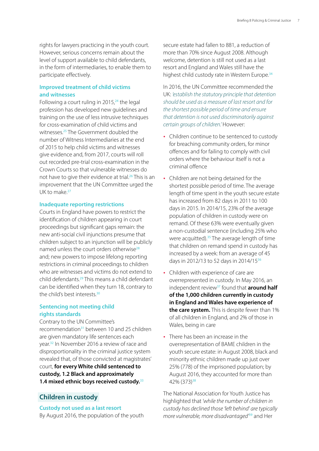rights for lawyers practicing in the youth court. However, serious concerns remain about the level of support available to child defendants, in the form of intermediaries, to enable them to participate effectively.

# **Improved treatment of child victims and witnesses**

Following a court ruling in  $2015<sub>1</sub><sup>24</sup>$  the legal profession has developed new guidelines and training on the use of less intrusive techniques for cross-examination of child victims and witnesses.<sup>25</sup> The Government doubled the number of Witness Intermediaries at the end of 2015 to help child victims and witnesses give evidence and, from 2017, courts will roll out recorded pre-trial cross-examination in the Crown Courts so that vulnerable witnesses do not have to give their evidence at trial.<sup>26</sup> This is an improvement that the UN Committee urged the UK to make.<sup>27</sup>

#### **Inadequate reporting restrictions**

Courts in England have powers to restrict the identification of children appearing in court proceedings but significant gaps remain: the new anti-social civil injunctions presume that children subject to an injunction will be publicly named unless the court orders otherwise<sup>28</sup> and; new powers to impose lifelong reporting restrictions in criminal proceedings to children who are witnesses and victims do not extend to child defendants.<sup>29</sup> This means a child defendant can be identified when they turn 18, contrary to the child's best interests.<sup>30</sup>

#### **Sentencing not meeting child rights standards**

Contrary to the UN Committee's recommendation<sup>31</sup> between 10 and 25 children are given mandatory life sentences each year.<sup>32</sup> In November 2016 a review of race and disproportionality in the criminal justice system revealed that, of those convicted at magistrates' court, **for every White child sentenced to custody, 1.2 Black and approximately 1.4 mixed ethnic boys received custody.**<sup>33</sup>

# **Children in custody**

# **Custody not used as a last resort**

By August 2016, the population of the youth

secure estate had fallen to 881, a reduction of more than 70% since August 2008. Although welcome, detention is still not used as a last resort and England and Wales still have the highest child custody rate in Western Europe.<sup>34</sup>

In 2016, the UN Committee recommended the UK: *'establish the statutory principle that detention should be used as a measure of last resort and for the shortest possible period of time and ensure that detention is not used discriminatorily against certain groups of children.'* However:

- Children continue to be sentenced to custody for breaching community orders, for minor offences and for failing to comply with civil orders where the behaviour itself is not a criminal offence
- Children are not being detained for the shortest possible period of time. The average length of time spent in the youth secure estate has increased from 82 days in 2011 to 100 days in 2015. In 2014/15, 23% of the average population of children in custody were on remand. Of these 63% were eventually given a non-custodial sentence (including 25% who were acquitted).<sup>35</sup> The average length of time that children on remand spend in custody has increased by a week: from an average of 45 days in 2012/13 to 52 days in 2014/15<sup>36</sup>
- Children with experience of care are overrepresented in custody. In May 2016, an independent review<sup>37</sup> found that **around half of the 1,000 children currently in custody in England and Wales have experience of the care system.** This is despite fewer than 1% of all children in England, and 2% of those in Wales, being in care
- There has been an increase in the overrepresentation of BAME children in the youth secure estate: in August 2008, black and minority ethnic children made up just over 25% (778) of the imprisoned population; by August 2016, they accounted for more than 42% (373)<sup>38</sup>

The National Association for Youth Justice has highlighted that *'while the number of children in custody has declined those 'left behind' are typically more vulnerable, more disadvantaged'*<sup>39</sup> and Her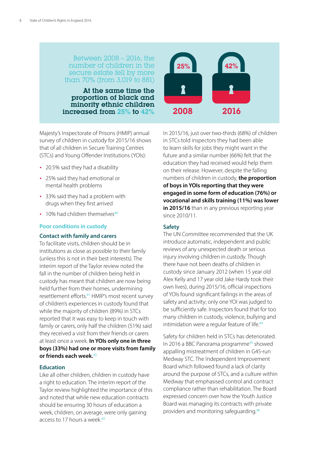# Between 2008 – 2016, the number of children in the secure estate fell by more than 70% (from 3,019 to 881)

At the same time the proportion of black and minority ethnic children increased from 25% to 42%



Majesty's Inspectorate of Prisons (HMIP) annual survey of children in custody for 2015/16 shows that of all children in Secure Training Centres (STCs) and Young Offender Institutions (YOIs):

- 20.5% said they had a disability
- 25% said they had emotional or mental health problems
- 33% said they had a problem with drugs when they first arrived
- $\cdot$  10% had children themselves<sup>40</sup>

#### **Poor conditions in custody**

#### **Contact with family and carers**

To facilitate visits, children should be in institutions as close as possible to their family (unless this is not in their best interests). The interim report of the Taylor review noted the fall in the number of children being held in custody has meant that children are now being held further from their homes, undermining resettlement efforts.<sup>41</sup> HMIP's most recent survey of children's experiences in custody found that while the majority of children (89%) in STCs reported that it was easy to keep in touch with family or carers, only half the children (51%) said they received a visit from their friends or carers at least once a week. **In YOIs only one in three boys (33%) had one or more visits from family or friends each week.**<sup>42</sup>

#### **Education**

Like all other children, children in custody have a right to education. The interim report of the Taylor review highlighted the importance of this and noted that while new education contracts should be ensuring 30 hours of education a week, children, on average, were only gaining access to 17 hours a week.<sup>43</sup>

In 2015/16, just over two-thirds (68%) of children in STCs told inspectors they had been able to learn skills for jobs they might want in the future and a similar number (66%) felt that the education they had received would help them on their release. However, despite the falling numbers of children in custody, **the proportion of boys in YOIs reporting that they were engaged in some form of education (76%) or vocational and skills training (11%) was lower**  in 2015/16 than in any previous reporting year since 2010/11.

#### **Safety**

The UN Committee recommended that the UK introduce automatic, independent and public reviews of any unexpected death or serious injury involving children in custody. Though there have not been deaths of children in custody since January 2012 (when 15 year old Alex Kelly and 17 year old Jake Hardy took their own lives), during 2015/16, official inspections of YOIs found significant failings in the areas of safety and activity; only one YOI was judged to be sufficiently safe. Inspectors found that for too many children in custody, violence, bullying and intimidation were a regular feature of life.<sup>44</sup>

Safety for children held in STCs has deteriorated. In 2016 a BBC Panorama programme<sup>45</sup> showed appalling mistreatment of children in G4S-run Medway STC. The Independent Improvement Board which followed found a lack of clarity around the purpose of STCs, and a culture within Medway that emphasised control and contract compliance rather than rehabilitation. The Board expressed concern over how the Youth Justice Board was managing its contracts with private providers and monitoring safeguarding.<sup>46</sup>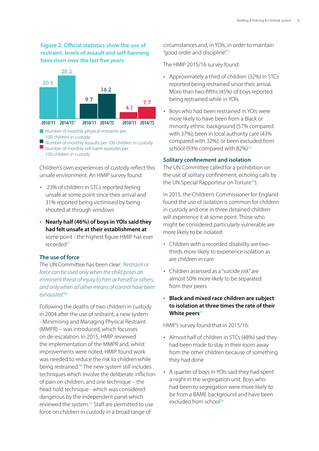# **Figure 2: Official statistics show the use of restraint, levels of assault and self-harming have risen over the last five years**



- Number of monthly physical restraints per 100 children in custody
- Number of monthly assaults per 100 children in custody Number of monthly self-harm episodes per 100 children in custody

Children's own experiences of custody reflect this unsafe environment. An HMIP survey found:

- 23% of children in STCs reported feeling unsafe at some point since their arrival and 31% reported being victimised by being shouted at through windows
- y **Nearly half (46%) of boys in YOIs said they had felt unsafe at their establishment at** some point - the highest figure HMIP has ever recorded<sup>47</sup>

#### **The use of force**

The UN Committee has been clear: *'Restraint or force can be used only when the child poses an imminent threat of injury to him or herself or others, and only when all other means of control have been exhausted'.*<sup>48</sup>

Following the deaths of two children in custody in 2004 after the use of restraint, a new system - Minimising and Managing Physical Restraint (MMPR) – was introduced, which focusses on de-escalation. In 2015, HMIP reviewed the implementation of the MMPR and, whilst improvements were noted, HMIP found work was needed to reduce the risk to children while being restrained.<sup>49</sup> The new system still includes techniques which involve the deliberate infliction of pain on children, and one technique – the head hold technique - which was considered dangerous by the independent panel which reviewed the system.<sup>50</sup> Staff are permitted to use force on children in custody in a broad range of

circumstances and, in YOIs, in order to maintain "good order and discipline".<sup>51</sup>

The HMIP 2015/16 survey found:

- Approximately a third of children (32%) in STCs reported being restrained since their arrival. More than two-fifths (45%) of boys reported being restrained while in YOIs
- Boys who had been restrained in YOIs were more likely to have been from a Black or minority ethnic background (57% compared with 37%); been in local authority care (43% compared with 32%); or been excluded from school (93% compared with 82%)<sup>53</sup>

# **Solitary confinement and isolation**

The UN Committee called for a prohibition on the use of solitary confinement, echoing calls by the UN Special Rapporteur on Torture<sup>54</sup>).

In 2015, the Children's Commissioner for England found the use of isolation is common for children in custody and one in three detained children will experience it at some point. Those who might be considered particularly vulnerable are more likely to be isolated:

- Children with a recorded disability are twothirds more likely to experience isolation as are children in care
- Children assessed as a "suicide risk" are almost 50% more likely to be separated from their peers
- y **Black and mixed race children are subject to isolation at three times the rate of their White peers**<sup>55</sup>

HMIP's survey found that in 2015/16:

- Almost half of children in STCs (48%) said they had been made to stay in their room away from the other children because of something they had done
- A quarter of boys in YOIs said they had spent a night in the segregation unit. Boys who had been to segregation were more likely to be from a BAME background and have been excluded from school<sup>56</sup>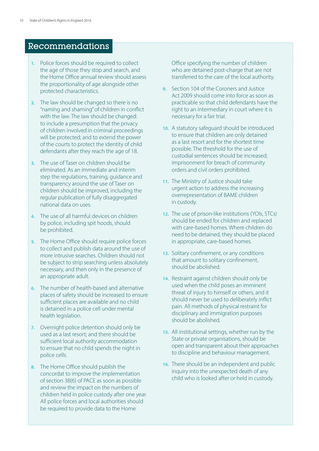# Recommendations

- **1.** Police forces should be required to collect the age of those they stop and search, and the Home Office annual review should assess the proportionality of age alongside other protected characteristics.
- **2.** The law should be changed so there is no "naming and shaming" of children in conflict with the law. The law should be changed: to include a presumption that the privacy of children involved in criminal proceedings will be protected; and to extend the power of the courts to protect the identity of child defendants after they reach the age of 18.
- **3.** The use of Taser on children should be eliminated. As an immediate and interim step the regulations, training, guidance and transparency around the use of Taser on children should be improved, including the regular publication of fully disaggregated national data on uses.
- **4.** The use of all harmful devices on children by police, including spit hoods, should be prohibited.
- **5.** The Home Office should require police forces to collect and publish data around the use of more intrusive searches. Children should not be subject to strip searching unless absolutely necessary, and then only in the presence of an appropriate adult.
- **6.** The number of health-based and alternative places of safety should be increased to ensure sufficient places are available and no child is detained in a police cell under mental health legislation.
- **7.** Overnight police detention should only be used as a last resort; and there should be sufficient local authority accommodation to ensure that no child spends the night in police cells.
- **8.** The Home Office should publish the concordat to improve the implementation of section 38(6) of PACE as soon as possible and review the impact on the numbers of children held in police custody after one year. All police forces and local authorities should be required to provide data to the Home

Office specifying the number of children who are detained post-charge that are not transferred to the care of the local authority.

- **9.** Section 104 of the Coroners and Justice Act 2009 should come into force as soon as practicable so that child defendants have the right to an intermediary in court where it is necessary for a fair trial.
- **10.** A statutory safeguard should be introduced to ensure that children are only detained as a last resort and for the shortest time possible. The threshold for the use of custodial sentences should be increased; imprisonment for breach of community orders and civil orders prohibited.
- **11.** The Ministry of Justice should take urgent action to address the increasing overrepresentation of BAME children in custody.
- **12.** The use of prison-like institutions (YOIs, STCs) should be ended for children and replaced with care-based homes. Where children do need to be detained, they should be placed in appropriate, care-based homes.
- **13.** Solitary confinement, or any conditions that amount to solitary confinement, should be abolished.
- **14.** Restraint against children should only be used when the child poses an imminent threat of injury to himself or others, and it should never be used to deliberately inflict pain. All methods of physical restraint for disciplinary and immigration purposes should be abolished.
- **15.** All institutional settings, whether run by the State or private organisations, should be open and transparent about their approaches to discipline and behaviour management.
- **16.** There should be an independent and public inquiry into the unexpected death of any child who is looked after or held in custody.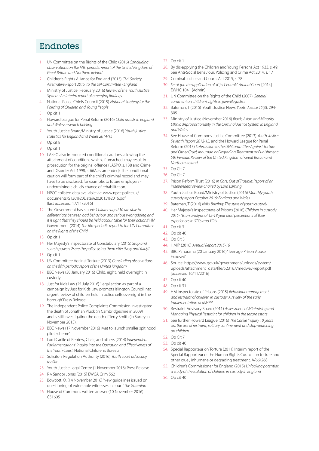# Endnotes

- 1. UN Committee on the Rights of the Child (2016) *Concluding observations on the fifth periodic report of the United Kingdom of Great Britain and Northern Ireland*
- 2. Children's Rights Alliance for England (2015) *Civil Society Alternative Report 2015 to the UN Committee - England*
- 3. Ministry of Justice (February 2016) *Review of the Youth Justice System: An interim report of emerging findings.*
- 4. National Police Chiefs Council (2015) *National Strategy for the Policing of Children and Young People*
- 5. Op cit 1
- 6. Howard League for Penal Reform (2016) *Child arrests in England and Wales: research briefing*
- 7. Youth Justice Board/Ministry of Justice (2016) *Youth justice statistics for England and Wales 2014/15*
- 8. Op cit 8
- 9. Op cit 1
- 10. LASPO also introduced conditional cautions, allowing the attachment of conditions which, if breached, may result in prosecution for the original offence (LASPO, s. 138 and Crime and Disorder Act 1998, s. 66A as amended). The conditional caution will form part of the child's criminal record and may have to be disclosed, for example, to future employers undermining a child's chance of rehabilitation.
- 11. NPCC collated data available via: [www.npcc.police.uk/](http://www.npcc.police.uk/documents/S136%20Data%202015%2016.pdf) [documents/S136%20Data%202015%2016.pdf](http://www.npcc.police.uk/documents/S136%20Data%202015%2016.pdf) [last accessed: 17/11/2016]
- 12. The Government has stated: *'children aged 10 are able to differentiate between bad behaviour and serious wrongdoing and it is right that they should be held accountable for their actions'* HM Government (2014) *The fifth periodic report to the UN Committee on the Rights of the Child*
- 13. Op cit 1
- 14. Her Majesty's Inspectorate of Constabulary (2015) *Stop and search powers 2: are the police using them effectively and fairly?*
- 15. Op cit 1
- 16. UN Committee Against Torture (2013) *Concluding observations on the fifth periodic report of the United Kingdom*
- 17. BBC News (30 January 2016) 'Child, eight, held overnight in custody'
- 18. Just for Kids Law (25 July 2016) 'Legal action as part of a campaign by Just for Kids Law prompts Islington Council into urgent review of children held in police cells overnight in the borough' Press Release
- 19. The Independent Police Complaints Commission investigated the death of Jonathan Pluck (in Cambridgeshire in 2009) and is still investigating the death of Terry Smith (in Surrey in November 2013).
- 20. BBC News (17 November 2016) 'Met to launch smaller spit hood pilot scheme'
- 21. Lord Carlile of Berriew, Chair, and others (2014) *Independent Parliamentarians' Inquiry into the Operation and Effectiveness of the Youth Court.* National Children's Bureau
- 22. Solicitors Regulation Authority (2016) *Youth court advocacy toolkit*
- 23. Youth Justice Legal Centre (1 November 2016) Press Release
- 24. R v Sandor Jonas [2015] EWCA Crim 562
- 25. Bowcott, O. (14 November 2016) 'New guidelines issued on questioning of vulnerable witnesses in court' *The Guardian*
- 26. House of Commons written answer (10 November 2016) C51605
- 27. Op cit 1
- 28. By dis-applying the Children and Young Persons Act 1933, s. 49. See Anti-Social Behaviour, Policing and Crime Act 2014, s. 17
- 29. Criminal Justice and Courts Act 2015, s. 78
- 30. *See R (on the application of JC) v Central Criminal Court* [2014] EWHC 1041 (Admin)
- 31. UN Committee on the Rights of the Child (2007) *General comment on children's rights in juvenile justice*
- 32. Bateman, T (2015) 'Youth Justice News' *Youth Justice 15*(3): 294- 305
- 33. Ministry of Justice (November 2016) *Black, Asian and Minority Ethnic disproportionality in the Criminal Justice System in England and Wales*
- 34. See House of Commons Justice Committee (2013) *Youth Justice: Seventh Report 2012-13,* and the Howard League for Penal Reform (2013) *Submission to the UN Committee Against Torture and Other Cruel, Inhuman or Degrading Treatment or Punishment: 5th Periodic Review of the United Kingdom of Great Britain and Northern Ireland*
- 35. Op Cit 7
- 36. Op Cit 7
- 37. Prison Reform Trust (2016) *In Care, Out of Trouble: Report of an independent review chaired by Lord Laming*
- 38. Youth Justice Board/Ministry of Justice (2016) *Monthly youth custody report October 2016: England and Wales.*
- 39. Bateman, T (2016) *NAYJ Briefing: The state of youth custody*
- 40. Her Majesty's Inspectorate of Prisons (2016) *Children in custody 2015-16: an analysis of 12-18 year olds' perceptions of their experiences in STCs and YOIs*
- 41. Op cit 3
- 42. Op cit 40
- 43. Op Cit 3
- 44. HMIP (2016) *Annual Report 2015-16*
- 45. BBC Panorama (20 January 2016) 'Teenage Prison Abuse Exposed'
- 46. Source: [https://www.gov.uk/government/uploads/system/](https://www.gov.uk/government/uploads/system/uploads/attachment_data/file/523167/medway-report.pdf) [uploads/attachment\\_data/file/523167/medway-report.pdf](https://www.gov.uk/government/uploads/system/uploads/attachment_data/file/523167/medway-report.pdf) [accessed 16/11/2016]
- 47. Op cit 40
- 48. Op cit 31
- 49. HM Inspectorate of Prisons (2015) *Behaviour management and restraint of children in custody: A review of the early implementation of MMPR*
- 50. Restraint Advisory Board (2011) *Assessment of Minimising and Managing Physical Restraint for children in the secure estate*
- 51. See further Howard League (2016) *The Carlile Inquiry 10 years on: the use of restraint, solitary confinement and strip-searching on children*
- 52. Op Cit 7
- 53. Op cit 40
- 54. Special Rapporteur on Torture (2011) Interim report of the Special Rapporteur of the Human Rights Council on torture and other cruel, inhumane or degrading treatment. A/66/268
- 55. Children's Commissioner for England (2015) *Unlocking potential: a study of the isolation of children in custody in England*
- 56. Op cit 40